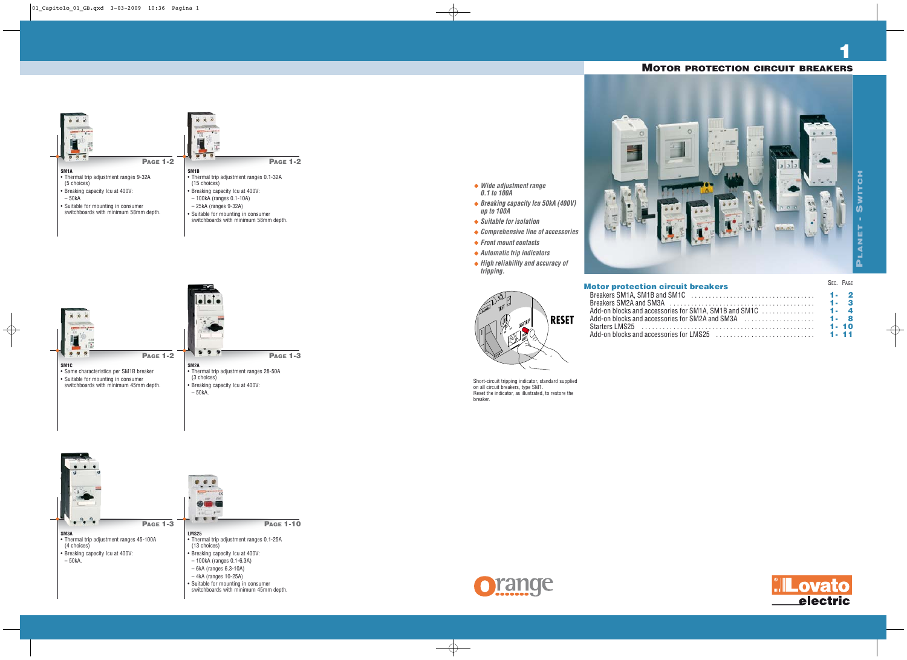## **SM1A**

- Thermal trip adjustment ranges 9-32A (5 choices)
- Breaking capacity Icu at 400V:
- 50kA
- Suitable for mounting in consumer switchboards with minimum 58mm depth.





**SM1B**

• Thermal trip adjustment ranges 0.1-32A (15 choices)

- Breaking capacity Icu at 400V:
- 100kA (ranges 0.1-10A)
- 25kA (ranges 9-32A)

• Suitable for mounting in consumer switchboards with minimum 58mm depth.

**PAGE 1-2**





| <b>Motor protection circuit breakers</b>                                                                                |          | SEC. PAGE |
|-------------------------------------------------------------------------------------------------------------------------|----------|-----------|
|                                                                                                                         |          |           |
| Breakers SM2A and SM3A $\ldots$ , $\ldots$ , $\ldots$ , $\ldots$ , $\ldots$ , $\ldots$ , $\ldots$ , $\ldots$ , $\ldots$ |          |           |
|                                                                                                                         |          |           |
| Add-on blocks and accessories for SM2A and SM3A $\ldots$ , , , , , , , , , , , , , , , 1 - 8                            |          |           |
|                                                                                                                         | $1 - 10$ |           |
|                                                                                                                         |          |           |



**1**

- **Wide adjustment range 0.1 to 100A**
- **Breaking capacity Icu 50kA (400V) up to 100A**
- **Suitable for isolation**
- **Comprehensive line of accessories**
- **Front mount contacts**
- **Automatic trip indicators**
- **High reliability and accuracy of tripping.**



**RESET** 



Short-circuit tripping indicator, standard supplied on all circuit breakers, type SM1. Reset the indicator, as illustrated, to restore the breaker.



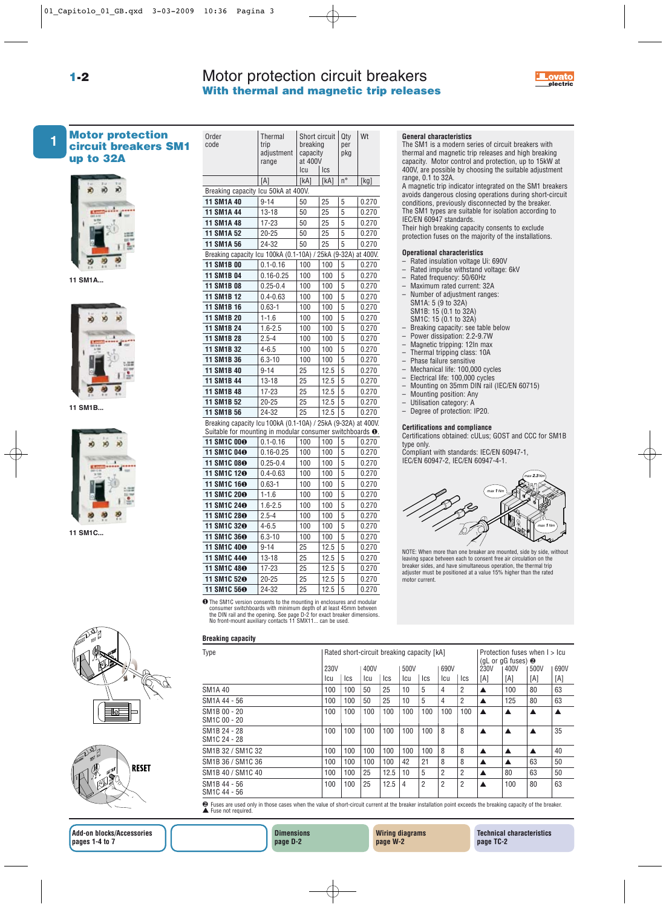

## Motor protection circuit breakers **With thermal and magnetic trip releases**



**1-2**

## **Motor protection up to 32A**





**11 SM1B...**



**11 SM1C...**





| 1 | <b>Motor protection</b><br><b>circuit breakers SM1</b><br>up to 32A | Order<br>code                                                                                                                       | Thermal<br>trip<br>adjustment | breaking<br>capacity | Short circuit | Qty<br>per<br>pkg | Wt    | <b>General characteristics</b><br>The SM1 is a modern so<br>thermal and magnetic tr |
|---|---------------------------------------------------------------------|-------------------------------------------------------------------------------------------------------------------------------------|-------------------------------|----------------------|---------------|-------------------|-------|-------------------------------------------------------------------------------------|
|   |                                                                     |                                                                                                                                     | range                         | at 400V<br>Icu       | Ics           |                   |       | capacity. Motor control<br>400V, are possible by cl                                 |
|   |                                                                     |                                                                                                                                     | [A]                           | [kA]                 | [kA]          | $n^{\circ}$       | [kg]  | range, 0.1 to 32A.                                                                  |
|   |                                                                     | Breaking capacity Icu 50kA at 400V.                                                                                                 |                               |                      |               |                   |       | A magnetic trip indicato                                                            |
|   |                                                                     | 11 SM1A 40                                                                                                                          | $9 - 14$                      | 50                   | 25            | 5                 | 0.270 | avoids dangerous closir<br>conditions, previously d                                 |
|   |                                                                     | 11 SM1A 44                                                                                                                          | $13 - 18$                     | 50                   | 25            | 5                 | 0.270 | The SM1 types are suita                                                             |
|   |                                                                     | 11 SM1A 48                                                                                                                          | 17-23                         | 50                   | 25            | 5                 | 0.270 | IEC/EN 60947 standards                                                              |
|   |                                                                     | 11 SM1A 52                                                                                                                          | $20 - 25$                     | 50                   | 25            | 5                 | 0.270 | Their high breaking cap                                                             |
|   |                                                                     | 11 SM1A 56                                                                                                                          | 24-32                         | 50                   | 25            | 5                 | 0.270 | protection fuses on the                                                             |
|   |                                                                     | Breaking capacity Icu 100kA (0.1-10A) / 25kA (9-32A) at 400V.                                                                       |                               |                      |               |                   |       | <b>Operational characteris</b>                                                      |
|   |                                                                     | 11 SM1B 00                                                                                                                          | $0.1 - 0.16$                  | 100                  | 100           | 5                 | 0.270 | - Rated insulation volta                                                            |
|   |                                                                     | 11 SM1B 04                                                                                                                          | $0.16 - 0.25$                 | 100                  | 100           | 5                 | 0.270 | - Rated impulse withst<br>- Rated frequency: 50/                                    |
|   | 11 SM1A                                                             | 11 SM1B 08                                                                                                                          | $0.25 - 0.4$                  | 100                  | 100           | 5                 | 0.270 | - Maximum rated curro                                                               |
|   |                                                                     | 11 SM1B 12                                                                                                                          | $0.4 - 0.63$                  | 100                  | 100           | 5                 | 0.270 | - Number of adjustmer                                                               |
|   |                                                                     | 11 SM1B 16                                                                                                                          | $0.63 - 1$                    | 100                  | 100           | 5                 | 0.270 | SM1A: 5 (9 to 32A)                                                                  |
|   |                                                                     | 11 SM1B 20                                                                                                                          | $1 - 1.6$                     | 100                  | 100           | 5                 | 0.270 | SM1B: 15 (0.1 to 32)<br>SM1C: 15 (0.1 to 32)                                        |
|   |                                                                     | 11 SM1B 24                                                                                                                          | $1.6 - 2.5$                   | 100                  | 100           | 5                 | 0.270 | - Breaking capacity: se                                                             |
|   |                                                                     | 11 SM1B 28                                                                                                                          | $2.5 - 4$                     | 100                  | 100           | 5                 | 0.270 | - Power dissipation: 2.                                                             |
|   |                                                                     | 11 SM1B 32                                                                                                                          | $4 - 6.5$                     | 100                  | 100           | 5                 | 0.270 | - Magnetic tripping: 12<br>- Thermal tripping clas                                  |
|   |                                                                     | 11 SM1B 36                                                                                                                          | $6.3 - 10$                    | 100                  | 100           | 5                 | 0.270 | - Phase failure sensitiv                                                            |
|   |                                                                     | 11 SM1B 40                                                                                                                          | $9 - 14$                      | 25                   | 12.5          | 5                 | 0.270 | - Mechanical life: 100,                                                             |
|   |                                                                     | 11 SM1B 44                                                                                                                          | $13 - 18$                     | 25                   | 12.5          | 5                 | 0.270 | - Electrical life: 100,00                                                           |
|   |                                                                     | 11 SM1B 48                                                                                                                          | 17-23                         | 25                   | 12.5          | 5                 | 0.270 | $-$ Mounting on 35mm<br>- Mounting position: A                                      |
|   |                                                                     | 11 SM1B 52                                                                                                                          | $20 - 25$                     | 25                   | 12.5          | 5                 | 0.270 | - Utilisation category:                                                             |
|   | 11 SM1B                                                             | 11 SM1B 56                                                                                                                          | 24-32                         | 25                   | 12.5          | 5                 | 0.270 | - Degree of protection:                                                             |
|   |                                                                     | Breaking capacity Icu 100kA (0.1-10A) / 25kA (9-32A) at 400V.<br>Suitable for mounting in modular consumer switchboards $\bullet$ . |                               |                      |               |                   |       | <b>Certifications and comp</b><br>Certifications obtained:                          |
|   |                                                                     | 11 SM1C 000                                                                                                                         | $0.1 - 0.16$                  | 100                  | 100           | 5                 | 0.270 | type only.                                                                          |
|   |                                                                     | 11 SM1C 040                                                                                                                         | $0.16 - 0.25$                 | 100                  | 100           | 5                 | 0.270 | Compliant with standard                                                             |
|   |                                                                     | 11 SM1C 08 <sup>O</sup>                                                                                                             | $0.25 - 0.4$                  | 100                  | 100           | 5                 | 0.270 | IEC/EN 60947-2, IEC/EN                                                              |
|   |                                                                     | 11 SM1C 12 <sup>O</sup>                                                                                                             | $0.4 - 0.63$                  | 100                  | 100           | 5                 | 0.270 |                                                                                     |
|   |                                                                     | 11 SM1C 160                                                                                                                         | $0.63 - 1$                    | 100                  | 100           | 5                 | 0.270 |                                                                                     |
|   |                                                                     | 11 SM1C 200                                                                                                                         | $1 - 1.6$                     | 100                  | 100           | 5                 | 0.270 |                                                                                     |
|   |                                                                     | 11 SM1C 240                                                                                                                         | $1.6 - 2.5$                   | 100                  | 100           | 5                 | 0.270 |                                                                                     |
|   |                                                                     | 11 SM1C 280                                                                                                                         | $2.5 - 4$                     | 100                  | 100           | 5                 | 0.270 |                                                                                     |
|   | 11 SM1C                                                             | 11 SM1C 32 <sup>O</sup>                                                                                                             | $4 - 6.5$                     | 100                  | 100           | 5                 | 0.270 |                                                                                     |
|   |                                                                     | 11 SM1C 360                                                                                                                         | $6.3 - 10$                    | 100                  | 100           | 5                 | 0.270 |                                                                                     |
|   |                                                                     | 11 SM1C 400                                                                                                                         | $9 - 14$                      | 25                   | 12.5          | 5                 | 0.270 | NOTE: When more than one b                                                          |
|   |                                                                     | 11 SM1C 440                                                                                                                         | $13 - 18$                     | 25                   | 12.5          | 5                 | 0.270 | leaving space between each to                                                       |
|   |                                                                     | 11 SM1C 480                                                                                                                         | 17-23                         | 25                   | 12.5          | 5                 | 0.270 | breaker sides, and have simul<br>adjuster must be positioned a                      |
|   |                                                                     | 11 SM1C 52 <sup>O</sup>                                                                                                             | $20 - 25$                     | 25                   | 12.5          | 5                 | 0.270 | motor current.                                                                      |
|   |                                                                     | 11 SM1C 560                                                                                                                         | 24-32                         | 25                   | 12.5          | $\overline{5}$    | 0.270 |                                                                                     |
|   |                                                                     | <b>O</b> The CM10 version consents to the mounting in englocures and modular                                                        |                               |                      |               |                   |       |                                                                                     |

# **O** The SM1C version consents to the mounting in enclosures and modular consumer switchboards with minimum depth of at least 45mm between the DIN rail and the opening. See page D-2 for exact breaker dimensions. No front-mo

## **Breaking capacity**

| Type                         | Rated short-circuit breaking capacity [kA] |             |      |      |      |                |                |                |      | Protection fuses when $l > lcu$<br>(gL or gG fuses) $\odot$ |      |      |  |
|------------------------------|--------------------------------------------|-------------|------|------|------|----------------|----------------|----------------|------|-------------------------------------------------------------|------|------|--|
|                              |                                            |             | 400V |      | 500V |                | 690V           |                | 230V | 400V                                                        | 500V | 690V |  |
|                              | lcu.                                       | <b>I</b> cs | lcu  | lcs  | lcu  | lcs.           | Icu            | Ics            | [A]  | [A]                                                         | [A]  | [A]  |  |
| SM1A 40                      | 100                                        | 100         | 50   | 25   | 10   | 5              | 4              | 2              | ▲    | 100                                                         | 80   | 63   |  |
| SM1A 44 - 56                 | 100                                        | 100         | 50   | 25   | 10   | 5              | 4              | 2              | ▲    | 125                                                         | 80   | 63   |  |
| SM1B 00 - 20<br>SM1C 00 - 20 | 100                                        | 100         | 100  | 100  | 100  | 100            | 100            | 100            | ▲    |                                                             | ▲    |      |  |
| SM1B 24 - 28<br>SM1C 24 - 28 | 100                                        | 100         | 100  | 100  | 100  | 100            | 8              | 8              | ▲    |                                                             | ▲    | 35   |  |
| SM1B 32 / SM1C 32            | 100                                        | 100         | 100  | 100  | 100  | 100            | 8              | 8              | ▲    | $\blacktriangle$                                            | ▲    | 40   |  |
| SM1B 36 / SM1C 36            | 100                                        | 100         | 100  | 100  | 42   | 21             | 8              | 8              | ▲    |                                                             | 63   | 50   |  |
| SM1B 40 / SM1C 40            | 100                                        | 100         | 25   | 12.5 | 10   | 5              | 2              | $\overline{2}$ | ▲    | 80                                                          | 63   | 50   |  |
| SM1B 44 - 56<br>SM1C 44 - 56 | 100                                        | 100         | 25   | 12.5 | 4    | $\overline{2}$ | $\overline{2}$ | $\overline{2}$ | ▲    | 100                                                         | 80   | 63   |  |

❷ Fuses are used only in those cases when the value of short-circuit current at the breaker installation point exceeds the breaking capacity of the breaker. ● Fuses are used on

The SM1 is a modern series of circuit breakers with thermal and magnetic trip releases and high breaking capacity. Motor control and protection, up to 15kW at 400V, are possible by choosing the suitable adjustment range, 0.1 to 32A. A magnetic trip indicator integrated on the SM1 breakers avoids dangerous closing operations during short-circuit conditions, previously disconnected by the breaker. The SM1 types are suitable for isolation according to IEC/EN 60947 standards. Their high breaking capacity consents to exclude protection fuses on the majority of the installations. **Operational characteristics** – Rated insulation voltage Ui: 690V – Rated impulse withstand voltage: 6kV – Rated frequency: 50/60Hz – Maximum rated current: 32A – Number of adjustment ranges: SM1A: 5 (9 to 32A) SM1B: 15 (0.1 to 32A)

- SM1C: 15 (0.1 to 32A)
- Breaking capacity: see table below
- Power dissipation: 2.2-9.7W
- Magnetic tripping: 12In max – Thermal tripping class: 10A
- Phase failure sensitive
- Mechanical life: 100,000 cycles
- 
- Electrical life: 100,000 cycles – Mounting on 35mm DIN rail (IEC/EN 60715)
- Mounting position: Any
- Utilisation category: A
- Degree of protection: IP20.

## **Certifications and compliance**

Certifications obtained: cULus; GOST and CCC for SM1B type only.

Compliant with standards: IEC/EN 60947-1, IEC/EN 60947-2, IEC/EN 60947-4-1.



NOTE: When more than one breaker are mounted, side by side, without leaving space between each to consent free air circulation on the breaker sides, and have simultaneous operation, the thermal trip adjuster must be positioned at a value 15% higher than the rated motor current.

**Wiring diagrams page W-2**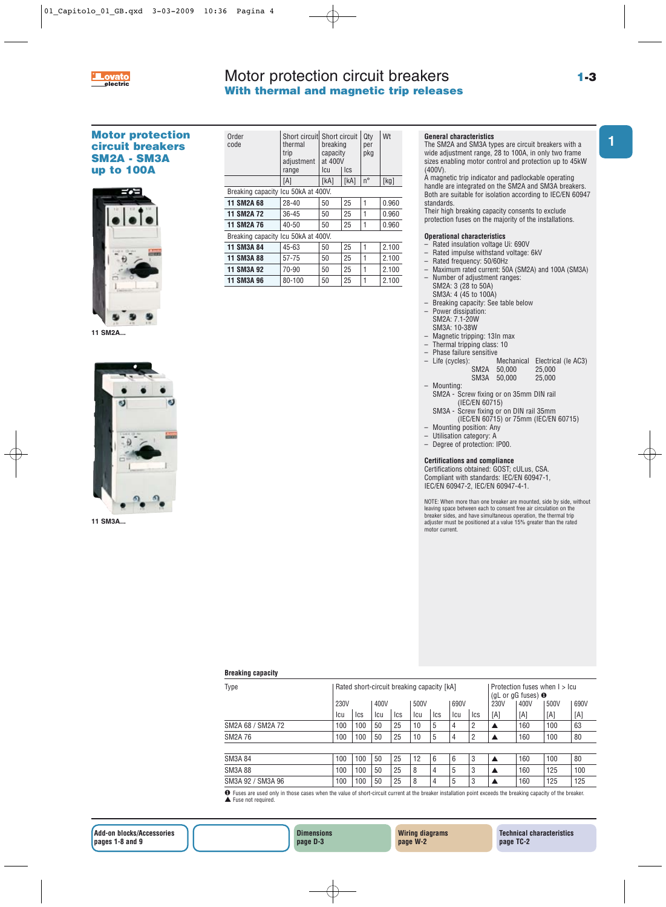

## Motor protection circuit breakers **With thermal and magnetic trip releases**

**1**

## **Motor protection circuit breakers SM2A - SM3A up to 100A**



**11 SM2A...**



**11 SM3A...**

| Order<br>code                       | Short circuit Short circuit<br>thermal<br>trip<br>adjustment<br>range | breaking<br>capacity<br>at 400V<br>lcu | Ics  | Qty<br>per<br>pkg | Wt    |  |  |  |  |  |
|-------------------------------------|-----------------------------------------------------------------------|----------------------------------------|------|-------------------|-------|--|--|--|--|--|
|                                     | [A]                                                                   | [kA]                                   | [kA] | $n^{\circ}$       | [kg]  |  |  |  |  |  |
| Breaking capacity Icu 50kA at 400V. |                                                                       |                                        |      |                   |       |  |  |  |  |  |
| <b>11 SM2A 68</b>                   | 28-40                                                                 | 25<br>50                               |      | 1                 | 0.960 |  |  |  |  |  |
| <b>11 SM2A 72</b>                   | 36-45                                                                 | 50                                     | 25   |                   | 0.960 |  |  |  |  |  |
| <b>11 SM2A 76</b>                   | 40-50                                                                 | 50                                     | 25   | 1                 | 0.960 |  |  |  |  |  |
| Breaking capacity Icu 50kA at 400V. |                                                                       |                                        |      |                   |       |  |  |  |  |  |
| 11 SM3A 84                          | 45-63                                                                 | 50                                     | 25   | 1                 | 2.100 |  |  |  |  |  |
| 11 SM3A 88                          | 57-75                                                                 | 50                                     | 25   | 1                 | 2.100 |  |  |  |  |  |
| 11 SM3A 92                          | 70-90                                                                 | 50                                     | 25   |                   | 2.100 |  |  |  |  |  |
| 11 SM3A 96                          | 80-100                                                                | 50                                     | 25   |                   | 2.100 |  |  |  |  |  |

## **General characteristics**

The SM2A and SM3A types are circuit breakers with a wide adjustment range, 28 to 100A, in only two frame sizes enabling motor control and protection up to 45kW (400V).

A magnetic trip indicator and padlockable operating handle are integrated on the SM2A and SM3A breakers. Both are suitable for isolation according to IEC/EN 60947 standards.

Their high breaking capacity consents to exclude

protection fuses on the majority of the installations.

## **Operational characteristics**

- Rated insulation voltage Ui: 690V
- Rated impulse withstand voltage: 6kV
- Rated frequency: 50/60Hz
- Maximum rated current: 50A (SM2A) and 100A (SM3A)
	- Number of adjustment ranges: SM2A: 3 (28 to 50A)
- SM3A: 4 (45 to 100A)
- Breaking capacity: See table below
- Power dissipation:
- SM2A: 7.1-20W
- SM3A: 10-38W
- Magnetic tripping: 13In max – Thermal tripping class: 10
- 
- Phase failure sensitive<br>– Life (cycles): Mechanical Electrical (Ie AC3)<br> $50.000$  25.000 SM2A 50,000 25,000 SM3A 50,000 25,000
- Mounting:
	- SM2A Screw fixing or on 35mm DIN rail (IEC/EN 60715)
	- SM3A Screw fixing or on DIN rail 35mm (IEC/EN 60715) or 75mm (IEC/EN 60715)
- Mounting position: Any
- Utilisation category: A
- Degree of protection: IP00.

#### **Certifications and compliance**

Certifications obtained: GOST; cULus, CSA. Compliant with standards: IEC/EN 60947-1, IEC/EN 60947-2, IEC/EN 60947-4-1.

NOTE: When more than one breaker are mounted, side by side, without leaving space between each to consent free air circulation on the breaker sides, and have simultaneous operation, the thermal trip adjuster must be positioned at a value 15% greater than the rated motor current.

| <b>Breaking capacity</b> |  |  |
|--------------------------|--|--|
|                          |  |  |

| Type              |      |     |     |            | Rated short-circuit breaking capacity [kA] | Protection fuses when I > Icu<br>(gL or gG fuses) $\bullet$ |     |                |      |      |      |      |
|-------------------|------|-----|-----|------------|--------------------------------------------|-------------------------------------------------------------|-----|----------------|------|------|------|------|
|                   | 230V |     |     |            | 500V                                       |                                                             |     |                | 230V | 400V | 500V | 690V |
|                   | lcu  | Ics | lcu | <b>Ics</b> | lcu                                        | <b>Ics</b>                                                  | lcu | Ics            | [A]  | [A]  | [A]  | [A]  |
| SM2A 68 / SM2A 72 | 100  | 100 | 50  | 25         | 10                                         | 5                                                           | 4   | 2              | ▲    | 160  | 100  | 63   |
| SM2A 76           | 100  | 100 | 50  | 25         | 10                                         | 5                                                           | 4   | $\overline{2}$ |      | 160  | 100  | 80   |
|                   |      |     |     |            |                                            |                                                             |     |                |      |      |      |      |
| <b>SM3A 84</b>    | 100  | 100 | 50  | 25         | 12                                         | 6                                                           | 6   | 3              | ▲    | 160  | 100  | 80   |
| <b>SM3A 88</b>    | 100  | 100 | 50  | 25         | 8                                          | 4                                                           | 5   | 3              | ▲    | 160  | 125  | 100  |
| SM3A 92 / SM3A 96 | 100  | 100 | 50  | 25         | 8                                          | 4                                                           | 5   | 3              |      | 160  | 125  | 125  |

❶ Fuses are used only in those cases when the value of short-circuit current at the breaker installation point exceeds the breaking capacity of the breaker. ▲ Fuse not required.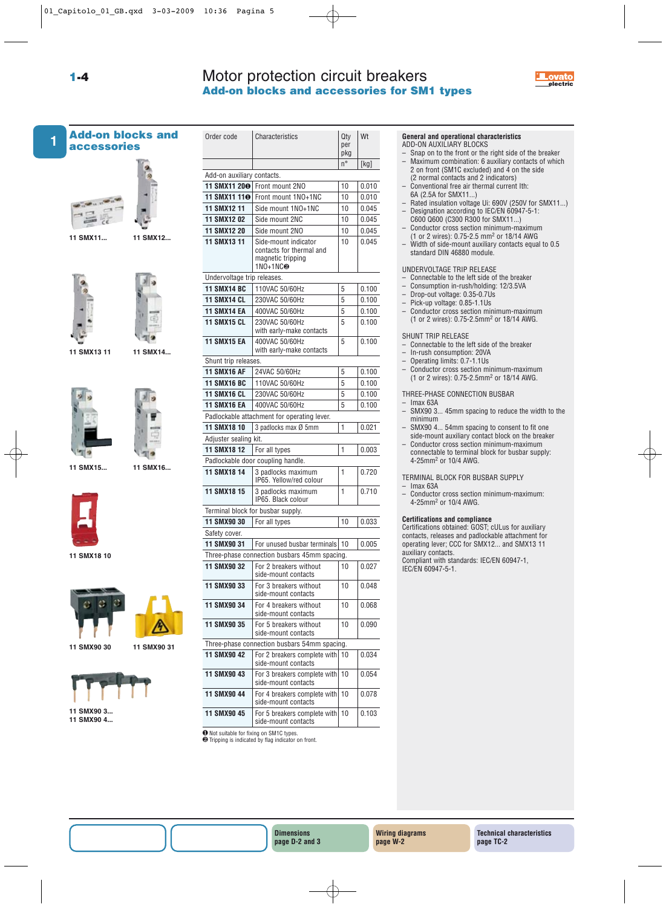## Motor protection circuit breakers **Add-on blocks and accessories for SM1 types**



# **1**

**Add-on blocks and accessories**



**11 SMX11... 11 SMX12...**

**1-4**



**11 SMX13 11**

**11 SMX14...**



**11 SMX15... 11 SMX16...**





**11 SMX18 10**







**11 SMX90 4...**

| Order code                  | Characteristics                                                                   | Qty<br>per<br>pkg | Wt    |
|-----------------------------|-----------------------------------------------------------------------------------|-------------------|-------|
|                             |                                                                                   | $n^{\circ}$       | [kg]  |
| Add-on auxiliary contacts.  |                                                                                   |                   |       |
| 11 SMX11 200                | Front mount 2NO                                                                   | 10                | 0.010 |
| 11 SMX11 110                | Front mount 1NO+1NC                                                               | 10                | 0.010 |
| 11 SMX12 11                 | Side mount 1NO+1NC                                                                | 10                | 0.045 |
| <b>11 SMX12 02</b>          | Side mount 2NC                                                                    | 10                | 0.045 |
| 11 SMX12 20                 | Side mount 2NO                                                                    | 10                | 0.045 |
| 11 SMX13 11                 | Side-mount indicator<br>contacts for thermal and<br>magnetic tripping<br>1NO+1NC❷ | 10                | 0.045 |
| Undervoltage trip releases. |                                                                                   |                   |       |
| <b>11 SMX14 BC</b>          | 110VAC 50/60Hz                                                                    | 5                 | 0.100 |
| <b>11 SMX14 CL</b>          | 230VAC 50/60Hz                                                                    | 5                 | 0.100 |
| <b>11 SMX14 EA</b>          | 400VAC 50/60Hz                                                                    | 5                 | 0.100 |
| <b>11 SMX15 CL</b>          | 230VAC 50/60Hz<br>with early-make contacts                                        | 5                 | 0.100 |
| <b>11 SMX15 EA</b>          | 400VAC 50/60Hz<br>with early-make contacts                                        | 5                 | 0.100 |
| Shunt trip releases.        |                                                                                   |                   |       |
| <b>11 SMX16 AF</b>          | 24VAC 50/60Hz                                                                     | 5                 | 0.100 |
| <b>11 SMX16 BC</b>          | 110VAC 50/60Hz                                                                    | 5                 | 0.100 |
| <b>11 SMX16 CL</b>          | 230VAC 50/60Hz                                                                    | 5                 | 0.100 |
| <b>11 SMX16 EA</b>          | 400VAC 50/60Hz                                                                    | 5                 | 0.100 |
|                             | Padlockable attachment for operating lever.                                       |                   |       |
| 11 SMX18 10                 | 3 padlocks max Ø 5mm                                                              | 1                 | 0.021 |
| Adjuster sealing kit.       |                                                                                   |                   |       |
| 11 SMX18 12                 | For all types                                                                     | 1                 | 0.003 |
|                             | Padlockable door coupling handle.                                                 |                   |       |
| 11 SMX18 14                 | 3 padlocks maximum<br>IP65. Yellow/red colour                                     | 1                 | 0.720 |
| 11 SMX18 15                 | 3 padlocks maximum<br>IP65. Black colour                                          | 1                 | 0.710 |
|                             | Terminal block for busbar supply.                                                 |                   |       |
| 11 SMX90 30                 | For all types                                                                     | 10                | 0.033 |
| Safety cover.               |                                                                                   |                   |       |
| 11 SMX90 31                 | For unused busbar terminals                                                       | 10                | 0.005 |
|                             | Three-phase connection busbars 45mm spacing.                                      |                   |       |
| 11 SMX90 32                 | For 2 breakers without<br>side-mount contacts                                     | 10                | 0.027 |
| 11 SMX90 33                 | For 3 breakers without<br>side-mount contacts                                     | 10                | 0.048 |
| 11 SMX90 34                 | For 4 breakers without<br>side-mount contacts                                     | 10                | 0.068 |
| 11 SMX90 35                 | For 5 breakers without<br>side-mount contacts                                     | 10                | 0.090 |
|                             | Three-phase connection busbars 54mm spacing.                                      |                   |       |
| 11 SMX90 42                 | For 2 breakers complete with<br>side-mount contacts                               | 10                | 0.034 |
| 11 SMX90 43                 | For 3 breakers complete with<br>side-mount contacts                               | 10                | 0.054 |
| 11 SMX90 44                 | For 4 breakers complete with<br>side-mount contacts                               | 10                | 0.078 |
| 11 SMX90 45                 | For 5 breakers complete with<br>side-mount contacts                               | 10                | 0.103 |

❶Not suitable for fixing on SM1C types. ❷Tripping is indicated by flag indicator on front.

## **General and operational characteristics**

ADD-ON AUXILIARY BLOCKS

- Snap on to the front or the right side of the breaker<br>– Maximum combination: 6 auxiliary contacts of which – Maximum combination: 6 auxiliary contacts of which 2 on front (SM1C excluded) and 4 on the side
- (2 normal contacts and 2 indicators) – Conventional free air thermal current Ith:
- 6A (2.5A for SMX11...)
- Rated insulation voltage Ui: 690V (250V for SMX11...) – Designation according to IEC/EN 60947-5-1:
- C600 Q600 (C300 R300 for SMX11...) – Conductor cross section minimum-maximum
- (1 or 2 wires): 0.75-2.5 mm2 or 18/14 AWG
- Width of side-mount auxiliary contacts equal to 0.5 standard DIN 46880 module.

### UNDERVOLTAGE TRIP RELEASE

- Connectable to the left side of the breaker
- Consumption in-rush/holding: 12/3.5VA
- Drop-out voltage: 0.35-0.7Us
- Pick-up voltage: 0.85-1.1Us – Conductor cross section minimum-maximum
- (1 or 2 wires): 0.75-2.5mm2 or 18/14 AWG.

### SHUNT TRIP RELEASE

- Connectable to the left side of the breaker
- In-rush consumption: 20VA
- Operating limits: 0.7-1.1Us<br>– Conductor cross section mi
- Conductor cross section minimum-maximum (1 or 2 wires): 0.75-2.5mm2 or 18/14 AWG.

THREE-PHASE CONNECTION BUSBAR

- Imax 63A – SMX90 3... 45mm spacing to reduce the width to the minimum
- SMX90 4... 54mm spacing to consent to fit one side-mount auxiliary contact block on the breaker
- Conductor cross section minimum-maximum connectable to terminal block for busbar supply:

TERMINAL BLOCK FOR BUSBAR SUPPLY

- $-$  Imax 63A
- Conductor cross section minimum-maximum: 4-25mm2 or 10/4 AWG.

## **Certifications and compliance**

4-25mm2 or 10/4 AWG.

Certifications obtained: GOST; cULus for auxiliary contacts, releases and padlockable attachment for operating lever; CCC for SMX12... and SMX13 11 auxiliary contacts. Compliant with standards: IEC/EN 60947-1,

IEC/EN 60947-5-1.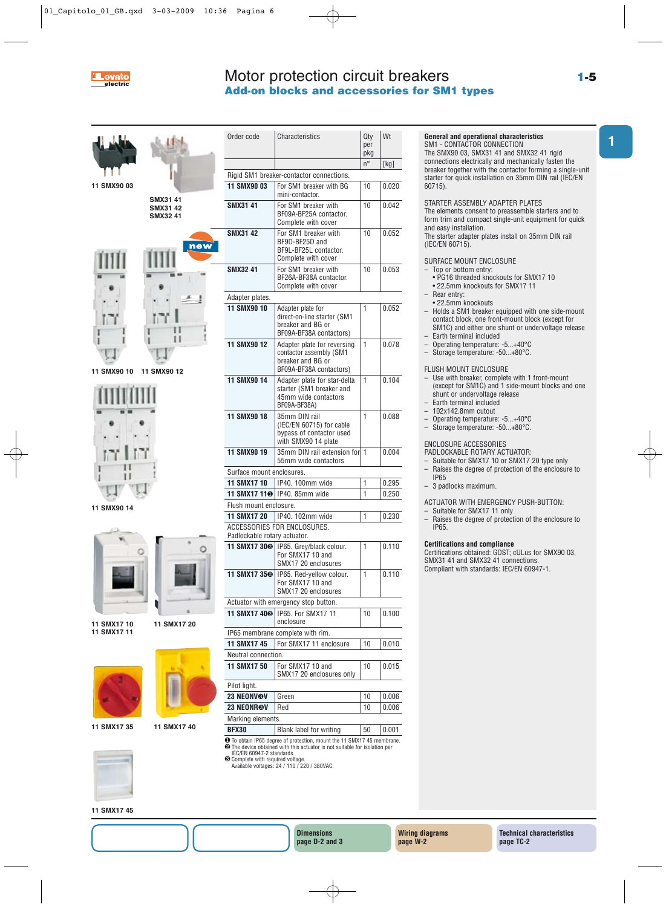

## Motor protection circuit breakers **Add-on blocks and accessories for SM1 types**



**11 SMX90 03**



**SMX31 41 SMX31 42**

**11 SMX90 10 11 SMX90 12**



**11 SMX90 14**





**11 SMX17 10 11 SMX17 11**

**11 SMX17 20**



| 11 SMX17 35 |  |  |
|-------------|--|--|
|             |  |  |

**11 SMX17 40**

| Order code                   | Characteristics                                                                                        | Qty<br>per<br>pkg | Wt    |
|------------------------------|--------------------------------------------------------------------------------------------------------|-------------------|-------|
|                              |                                                                                                        | n°                | [kg]  |
|                              | Rigid SM1 breaker-contactor connections.                                                               |                   |       |
| 11 SMX90 03                  | For SM1 breaker with BG<br>mini-contactor.                                                             | 10                | 0.020 |
| SMX31 41                     | For SM1 breaker with<br>BF09A-BF25A contactor.<br>Complete with cover                                  | 10                | 0.042 |
| <b>SMX31 42</b>              | For SM1 breaker with<br>BF9D-BF25D and<br>BF9L-BF25L contactor.<br>Complete with cover                 | 10                | 0.052 |
| <b>SMX3241</b>               | For SM1 breaker with<br>BF26A-BF38A contactor.<br>Complete with cover                                  | 10                | 0.053 |
| Adapter plates.              |                                                                                                        |                   |       |
| 11 SMX90 10                  | Adapter plate for<br>direct-on-line starter (SM1<br>breaker and BG or<br>BF09A-BF38A contactors)       | 1                 | 0.052 |
| 11 SMX90 12                  | Adapter plate for reversing<br>contactor assembly (SM1<br>breaker and BG or<br>BF09A-BF38A contactors) | 1                 | 0.078 |
| 11 SMX90 14                  | Adapter plate for star-delta<br>starter (SM1 breaker and<br>45mm wide contactors<br>BF09A-BF38A)       | 1                 | 0.104 |
| 11 SMX90 18                  | 35mm DIN rail<br>(IEC/EN 60715) for cable<br>bypass of contactor used<br>with SMX90 14 plate           | 1                 | 0.088 |
| 11 SMX90 19                  | 35mm DIN rail extension for<br>55mm wide contactors                                                    | 1                 | 0.004 |
| Surface mount enclosures.    |                                                                                                        |                   |       |
| <b>11 SMX17 10</b>           | IP40. 100mm wide                                                                                       | 1                 | 0.295 |
| 11 SMX17 11 <sup>o</sup>     | IP40, 85mm wide                                                                                        | 1                 | 0.250 |
| Flush mount enclosure.       |                                                                                                        |                   |       |
| <b>11 SMX17 20</b>           | IP40. 102mm wide                                                                                       | 1                 | 0.230 |
| Padlockable rotary actuator. | ACCESSORIES FOR ENCLOSURES.                                                                            |                   |       |
|                              | 11 SMX17 30 <sup>o</sup> IP65. Grey/black colour.<br>For SMX17 10 and<br>SMX17 20 enclosures           | 1                 | 0.110 |
|                              | 11 SMX17 35 <sup>®</sup> IP65. Red-yellow colour.<br>For SMX17 10 and<br>SMX17 20 enclosures           | 1                 | 0.110 |
|                              | Actuator with emergency stop button.                                                                   |                   |       |
| 11 SMX17 40 <sup>o</sup>     | IP65. For SMX17 11<br>enclosure                                                                        | 10                | 0.100 |
|                              | IP65 membrane complete with rim.                                                                       |                   |       |
| $0.00474E$ $E_{\text{20}}$   |                                                                                                        |                   |       |

## **11 SMX17 45** For SMX17 11 enclosure | 10 | 0.010 Neutral connection. **11 SMX17 50** For SMX17 10 and 10 0.015 SMX17 20 enclosures only

Pilot light. **23 NEONVOV** Green 10 0.006 **23 NEONR®V** Red 10 0.006 Marking elements. **BFX30** Blank label for writing 50 0.001

❶To obtain IP65 degree of protection, mount the 11 SMX17 45 membrane. ❷The device obtained with this actuator is not suitable for isolation per IEC/EN 60947-2 standards.

❸Complete with required voltage. Available voltages: 24 / 110 / 220 / 380VAC.

## **General and operational characteristics**

SM1 - CONTACTOR CONNECTION The SMX90 03, SMX31 41 and SMX32 41 rigid connections electrically and mechanically fasten the breaker together with the contactor forming a single-unit starter for quick installation on 35mm DIN rail (IEC/EN 60715).

STARTER ASSEMBLY ADAPTER PLATES The elements consent to preassemble starters and to form trim and compact single-unit equipment for quick and easy installation.

The starter adapter plates install on 35mm DIN rail (IEC/EN 60715).

## SURFACE MOUNT ENCLOSURE

- Top or bottom entry:
- PG16 threaded knockouts for SMX17 10 • 22.5mm knockouts for SMX17 11
- Rear entry:
- 22.5mm knockouts – Holds a SM1 breaker equipped with one side-mount contact block, one front-mount block (except for
- SM1C) and either one shunt or undervoltage release – Earth terminal included
- Operating temperature: -5...+40°C
- Storage temperature: -50...+80°C.

FLUSH MOUNT ENCLOSURE

- Use with breaker, complete with 1 front-mount (except for SM1C) and 1 side-mount blocks and one shunt or undervoltage release
- Earth terminal included
- 102x142.8mm cutout
- Operating temperature: -5...+40°C
- Storage temperature: -50...+80°C.

#### ENCLOSURE ACCESSORIES

PADLOCKABLE ROTARY ACTUATOR:

- Suitable for SMX17 10 or SMX17 20 type only – Raises the degree of protection of the enclosure to IP65
- 3 padlocks maximum.

ACTUATOR WITH EMERGENCY PUSH-BUTTON:

- Suitable for SMX17 11 only
	- Raises the degree of protection of the enclosure to IP65.

#### **Certifications and compliance**

Certifications obtained: GOST; cULus for SMX90 03, SMX31 41 and SMX32 41 connections. Compliant with standards: IEC/EN 60947-1.

**1**

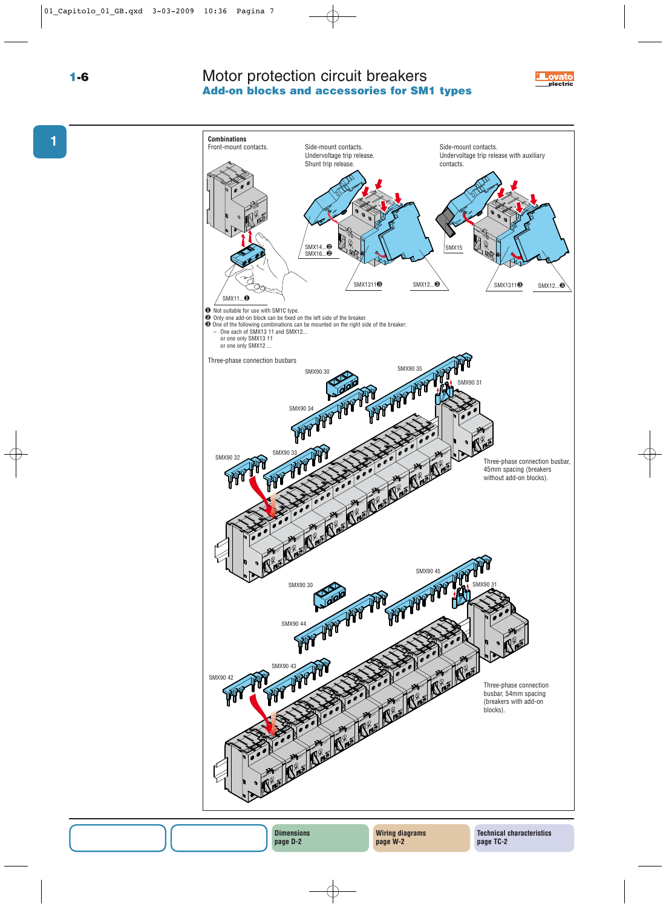Motor protection circuit breakers **Add-on blocks and accessories for SM1 types 1-6 electric**





**1**

**Dimensions page D-2**

**Technical characteristics page TC-2**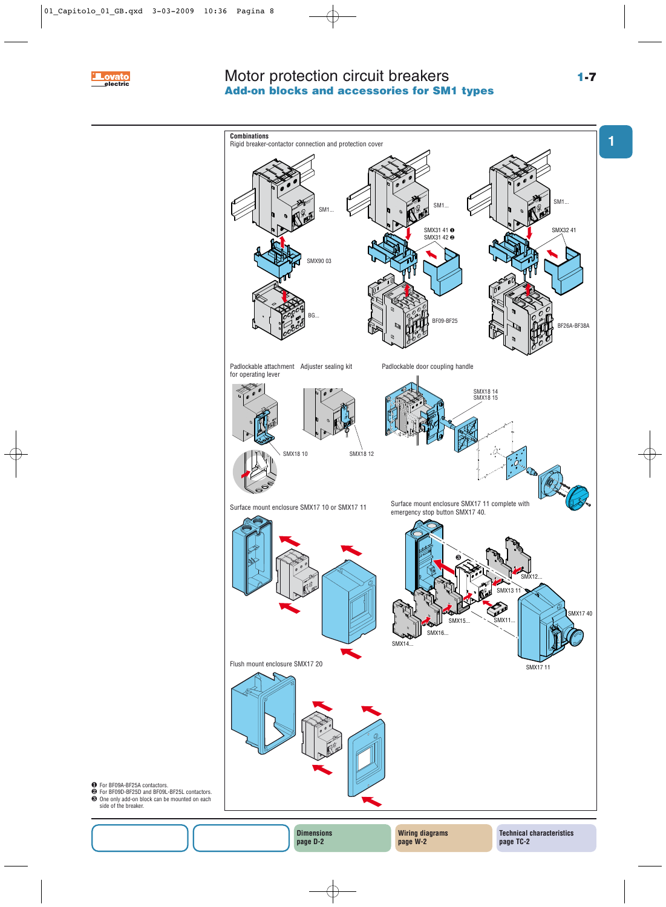

## Motor protection circuit breakers **Add-on blocks and accessories for SM1 types**



❶ For BF09A-BF25A contactors. ❷ For BF09D-BF25D and BF09L-BF25L contactors. ❸ One only add-on block can be mounted on each

side of the breaker.

**Dimensions page D-2**

**Wiring diagrams page W-2**

**1**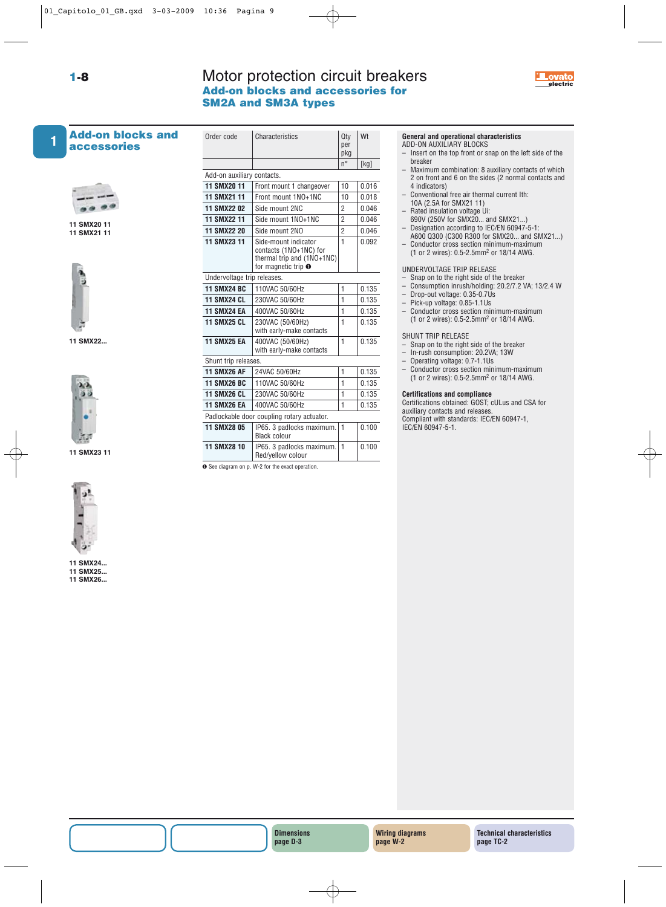## **1-8** Motor protection circuit breakers **Electric Add-on blocks and accessories for SM2A and SM3A types**



## **Add-on blocks and accessories 1**



**11 SMX20 11 11 SMX21 11**



**11 SMX22...**



**11 SMX23 11**



- **11 SMX24...**
- **11 SMX25... 11 SMX26...**

| Order code                  | Characteristics                                                                                             | Qty<br>per<br>pkg | Wt      |
|-----------------------------|-------------------------------------------------------------------------------------------------------------|-------------------|---------|
|                             |                                                                                                             | $n^{\circ}$       | [kg]    |
| Add-on auxiliary contacts.  |                                                                                                             |                   |         |
| 11 SMX20 11                 | Front mount 1 changeover                                                                                    | 10                | 0.016   |
| 11 SMX21 11                 | Front mount 1NO+1NC                                                                                         | 10                | 0.018   |
| 11 SMX22 02                 | Side mount 2NC                                                                                              | $\overline{2}$    | 0.046   |
| 11 SMX22 11                 | Side mount 1NO+1NC                                                                                          | $\overline{2}$    | 0.046   |
| <b>11 SMX22 20</b>          | Side mount 2NO                                                                                              | 2                 | 0.046   |
| 11 SMX23 11                 | Side-mount indicator<br>contacts (1NO+1NC) for<br>thermal trip and (1NO+1NC)<br>for magnetic trip $\bullet$ | 1                 | 0.092   |
| Undervoltage trip releases. |                                                                                                             |                   |         |
| <b>11 SMX24 BC</b>          | 110VAC 50/60Hz                                                                                              | $\mathbf{1}$      | 0.135   |
| <b>11 SMX24 CL</b>          | 230VAC 50/60Hz                                                                                              | 1                 | 0.135   |
| <b>11 SMX24 EA</b>          | 400VAC 50/60Hz                                                                                              | $\mathbf{1}$      | 0.135   |
| <b>11 SMX25 CL</b>          | 230VAC (50/60Hz)<br>with early-make contacts                                                                | 1                 | 0.135   |
| <b>11 SMX25 EA</b>          | 400VAC (50/60Hz)<br>with early-make contacts                                                                | 1                 | 0.135   |
| Shunt trip releases.        |                                                                                                             |                   |         |
| <b>11 SMX26 AF</b>          | 24VAC 50/60Hz                                                                                               | 1                 | 0.135   |
| <b>11 SMX26 BC</b>          | 110VAC 50/60Hz                                                                                              | $\mathbf{1}$      | 0.135   |
| <b>11 SMX26 CL</b>          | 230VAC 50/60Hz                                                                                              | $\mathbf{1}$      | 0 1 3 5 |
| <b>11 SMX26 EA</b>          | 400VAC 50/60Hz                                                                                              | 1                 | 0.135   |
|                             | Padlockable door coupling rotary actuator.                                                                  |                   |         |
| <b>11 SMX28 05</b>          | IP65. 3 padlocks maximum.<br><b>Black colour</b>                                                            | $\mathbf{1}$      | 0.100   |
| <b>11 SMX28 10</b>          | IP65. 3 padlocks maximum.<br>Red/yellow colour                                                              | $\mathbf{1}$      | 0.100   |
|                             |                                                                                                             |                   |         |

❶ See diagram on p. W-2 for the exact operation.

## **General and operational characteristics**

- ADD-ON AUXILIARY BLOCKS
- Insert on the top front or snap on the left side of the breaker
- Maximum combination: 8 auxiliary contacts of which 2 on front and 6 on the sides (2 normal contacts and 4 indicators)
- Conventional free air thermal current Ith:
- 10A (2.5A for SMX21 11) – Rated insulation voltage Ui:
- 690V (250V for SMX20... and SMX21...)
- Designation according to IEC/EN 60947-5-1:
- A600 Q300 (C300 R300 for SMX20... and SMX21...) – Conductor cross section minimum-maximum
- (1 or 2 wires): 0.5-2.5mm2 or 18/14 AWG.

## UNDERVOLTAGE TRIP RELEASE

- Snap on to the right side of the breaker
- Consumption inrush/holding: 20.2/7.2 VA; 13/2.4 W
- Drop-out voltage: 0.35-0.7Us
- Pick-up voltage: 0.85-1.1Us
- Conductor cross section minimum-maximum (1 or 2 wires): 0.5-2.5mm2 or 18/14 AWG.

## SHUNT TRIP RELEASE

- Snap on to the right side of the breaker
- In-rush consumption: 20.2VA; 13W
- Operating voltage: 0.7-1.1Us
- Conductor cross section minimum-maximum (1 or 2 wires): 0.5-2.5mm2 or 18/14 AWG.

#### **Certifications and compliance**

Certifications obtained: GOST; cULus and CSA for auxiliary contacts and releases. Compliant with standards: IEC/EN 60947-1, IEC/EN 60947-5-1.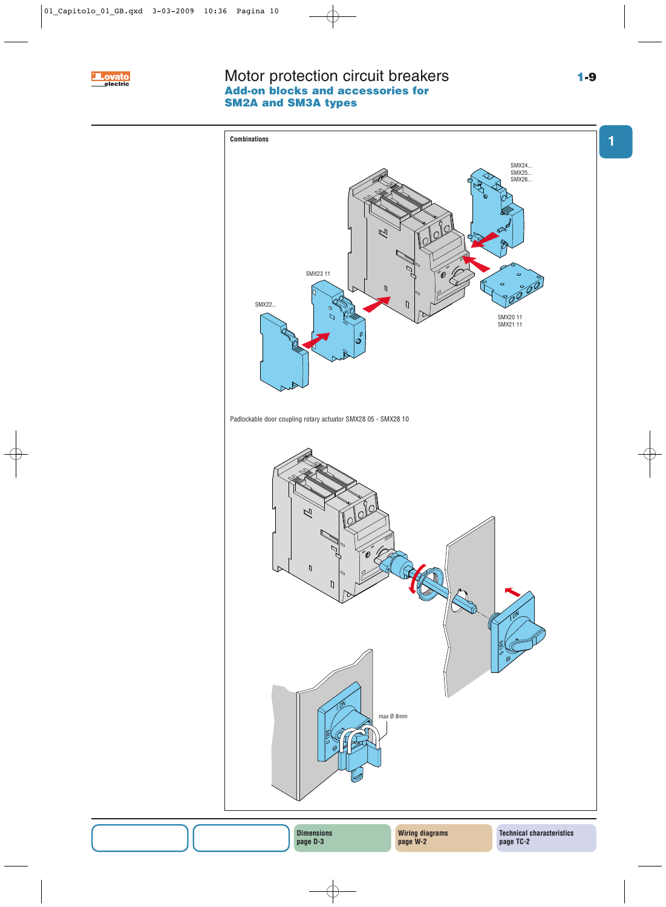

## Motor protection circuit breakers **Add-on blocks and accessories for SM2A and SM3A types 1-9 Execute Example 12 IVIOtor protection circuit breakers**



**Dimensions page D-3**

**Wiring diagrams page W-2**

**page TC-2**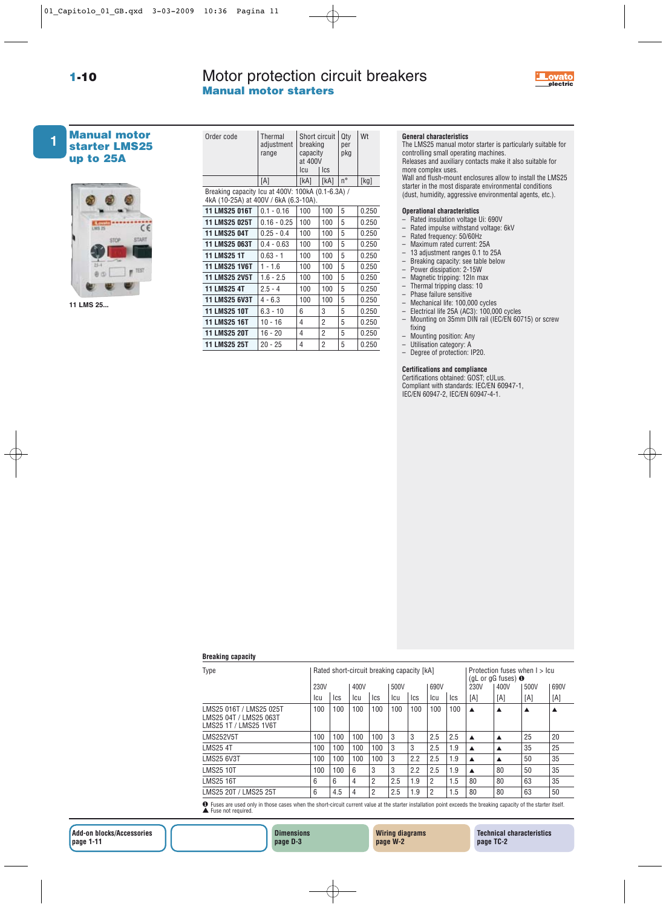## Motor protection circuit breakers **Manual motor starters**





## **Manual motor starter LMS25 up to 25A**



**11 LMS 25...**

| Order code                                                                                 | Thermal<br>adjustment<br>range | Short circuit<br>breaking<br>capacity<br>at 400V<br>lcu | <b>I</b> cs | Qty<br>per<br>pkg | Wt    |  |  |  |  |  |  |
|--------------------------------------------------------------------------------------------|--------------------------------|---------------------------------------------------------|-------------|-------------------|-------|--|--|--|--|--|--|
|                                                                                            | [A]                            | [kA]                                                    | [kA]        | $n^{\circ}$       | [kg]  |  |  |  |  |  |  |
| Breaking capacity Icu at 400V: 100kA (0.1-6.3A) /<br>4kA (10-25A) at 400V / 6kA (6.3-10A). |                                |                                                         |             |                   |       |  |  |  |  |  |  |
| 11 LMS25 016T                                                                              | $0.1 - 0.16$                   | 100                                                     | 100         | 5                 | 0.250 |  |  |  |  |  |  |
| 11 LMS25 025T                                                                              | $0.16 - 0.25$                  | 100                                                     | 100         | 5                 | 0.250 |  |  |  |  |  |  |
| <b>11 LMS25 04T</b>                                                                        | $0.25 - 0.4$                   | 100                                                     | 100         | 5                 | 0.250 |  |  |  |  |  |  |
| 11 LMS25 063T                                                                              | $0.4 - 0.63$                   | 100                                                     | 100         | 5                 | 0.250 |  |  |  |  |  |  |
| <b>11 LMS25 1T</b>                                                                         | $0.63 - 1$                     | 100                                                     | 100         | 5                 | 0.250 |  |  |  |  |  |  |
| <b>11 LMS25 1V6T</b>                                                                       | $1 - 1.6$                      | 100                                                     | 100         | 5                 | 0.250 |  |  |  |  |  |  |
| <b>11 LMS25 2V5T</b>                                                                       | $1.6 - 2.5$                    | 100                                                     | 100         | 5                 | 0.250 |  |  |  |  |  |  |
| <b>11 LMS25 4T</b>                                                                         | $2.5 - 4$                      | 100                                                     | 100         | 5                 | 0.250 |  |  |  |  |  |  |
| <b>11 LMS25 6V3T</b>                                                                       | $4 - 6.3$                      | 100                                                     | 100         | 5                 | 0.250 |  |  |  |  |  |  |
| <b>11 LMS25 10T</b>                                                                        | $6.3 - 10$                     | 6                                                       | 3           | 5                 | 0.250 |  |  |  |  |  |  |
| <b>11 LMS25 16T</b>                                                                        | $10 - 16$                      | 4                                                       | 2           | 5                 | 0.250 |  |  |  |  |  |  |
| <b>11 LMS25 20T</b>                                                                        | 16 - 20                        | 4                                                       | 2           | 5                 | 0.250 |  |  |  |  |  |  |
| <b>11 LMS25 25T</b>                                                                        | $20 - 25$                      | 4                                                       | 2           | 5                 | 0.250 |  |  |  |  |  |  |

## **General characteristics**

The LMS25 manual motor starter is particularly suitable for controlling small operating machines. Releases and auxiliary contacts make it also suitable for more complex uses.

Wall and flush-mount enclosures allow to install the LMS25 starter in the most disparate environmental conditions (dust, humidity, aggressive environmental agents, etc.).

#### **Operational characteristics**

- Rated insulation voltage Ui: 690V
- Rated impulse withstand voltage: 6kV
- Rated frequency: 50/60Hz
- Maximum rated current: 25A
- 13 adjustment ranges 0.1 to 25A – Breaking capacity: see table below
- 
- Power dissipation: 2-15W – Magnetic tripping: 12In max
- Thermal tripping class: 10
- Phase failure sensitive
- 
- Mechanical life: 100,000 cycles<br>– Electrical life 25A (AC3): 100,00 – Electrical life 25A (AC3): 100,000 cycles
- Mounting on 35mm DIN rail (IEC/EN 60715) or screw fixing
- Mounting position: Any
- Utilisation category: A
- Degree of protection: IP20.

## **Certifications and compliance**

Certifications obtained: GOST; cULus. Compliant with standards: IEC/EN 60947-1, IEC/EN 60947-2, IEC/EN 60947-4-1.

## **Breaking capacity**

| Type                   | Rated short-circuit breaking capacity [kA] |     |      |                |              |     |     |      |                  | Protection fuses when I > Icu<br>(gL or gG fuses) $\bullet$ |      |      |  |
|------------------------|--------------------------------------------|-----|------|----------------|--------------|-----|-----|------|------------------|-------------------------------------------------------------|------|------|--|
|                        | 230V                                       |     | 400V |                | 690V<br>500V |     |     | 230V |                  | 400V                                                        | 500V | 690V |  |
|                        | lcu                                        | lcs | lcu  | Ics            | <b>ICU</b>   | lcs | lcu | Ics  | [A]              | [A]                                                         | [A]  | [A]  |  |
| LMS25 04T / LMS25 063T | 100                                        | 100 | 100  | 100            | 100          | 100 | 100 | 100  |                  | ▲                                                           | ▲    |      |  |
| LMS252V5T              | 100                                        | 100 | 100  | 100            | 3            | 3   | 2.5 | 2.5  | $\blacktriangle$ | ▲                                                           | 25   | 20   |  |
| LMS25 4T               | 100                                        | 100 | 100  | 100            | 3            | 3   | 2.5 | 1.9  | $\blacktriangle$ | ▲                                                           | 35   | 25   |  |
| LMS25 6V3T             | 100                                        | 100 | 100  | 100            | 3            | 2.2 | 2.5 | 1.9  | $\blacktriangle$ | ▲                                                           | 50   | 35   |  |
| LMS25 10T              | 100                                        | 100 | 6    | 3              | 3            | 2.2 | 2.5 | 1.9  | $\blacktriangle$ | 80                                                          | 50   | 35   |  |
| LMS25 16T              | 6                                          | 6   | 4    | $\overline{2}$ | 2.5          | 1.9 | 2   | 1.5  | 80               | 80                                                          | 63   | 35   |  |
| LMS25 20T / LMS25 25T  | 6                                          | 4.5 | 4    | $\overline{2}$ | 2.5          | 1.9 | 2   | 1.5  | 80               | 80                                                          | 63   | 50   |  |

❶ Fuses are used only in those cases when the short-circuit current value at the starter installation point exceeds the breaking capacity of the starter itself. ▲ Fuse not required.



**Wiring diagrams page W-2**

**Technical characteristics page TC-2**